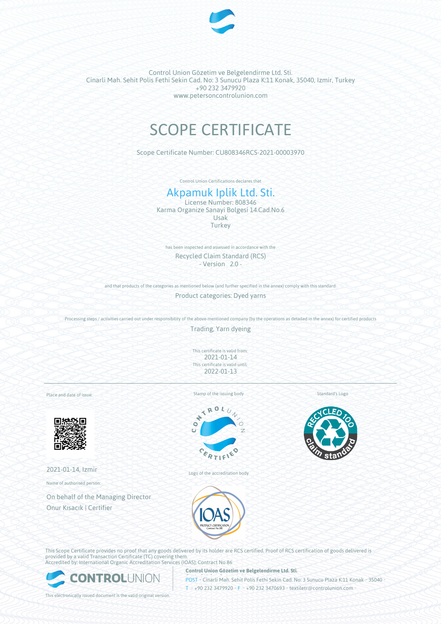

Control Union Gözetim ve Belgelendirme Ltd. Sti. Cinarli Mah. Sehit Polis Fethi Sekin Cad. No: 3 Sunucu Plaza K:11 Konak, 35040, Izmir, Turkey +90 232 3479920 www.petersoncontrolunion.com

# SCOPE CERTIFICATE

Scope Certificate Number: CU808346RCS-2021-00003970

Control Union Certifications declares that

# Akpamuk Iplik Ltd. Sti.

License Number: 808346 Karma Organize Sanayi Bolgesi 14.Cad.No.6 Usak **Turkey** 

has been inspected and assessed in accordance with the Recycled Claim Standard (RCS) - Version 2.0 -

and that products of the categories as mentioned below (and further specified in the annex) comply with this standard:

Product categories: Dyed yarns

Processing steps / activities carried out under responsibility of the above-mentioned company (by the operations as detailed in the annex) for certified products

Trading, Yarn dyeing

This certificate is valid from: 2021-01-14 This certificate is valid until: 2022-01-13

Place and date of issue:



2021-01-14, Izmir

Name of authorised person:

On behalf of the Managing Director Onur Kısacık | Certifier

Stamp of the issuing body



Logo of the accreditation body





This Scope Certificate provides no proof that any goods delivered by its holder are RCS certified. Proof of RCS certification of goods delivered is provided by a valid Transaction Certificate (TC) covering them. Accredited by: International Organic Accreditation Services (IOAS); Contract No 86

**Control Union Gözetim ve Belgelendirme Ltd. Sti.**



POST • Cinarli Mah. Sehit Polis Fethi Sekin Cad. No: 3 Sunucu Plaza K:11 Konak • 35040 • T • +90 232 3479920 • F • +90 232 3470693 • textiletr@controlunion.com •

This electronically issued document is the valid original version.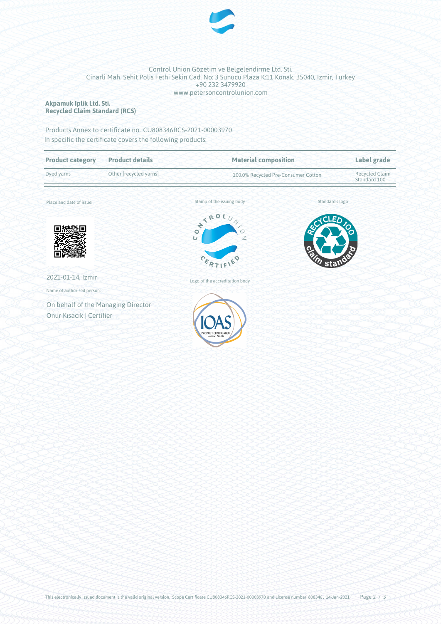

#### Control Union Gözetim ve Belgelendirme Ltd. Sti. Cinarli Mah. Sehit Polis Fethi Sekin Cad. No: 3 Sunucu Plaza K:11 Konak, 35040, Izmir, Turkey +90 232 3479920 www.petersoncontrolunion.com

#### **Akpamuk Iplik Ltd. Sti. Recycled Claim Standard (RCS)**

Products Annex to certificate no. CU808346RCS-2021-00003970 In specific the certificate covers the following products:

| <b>Product category</b>            | <b>Product details</b> | <b>Material composition</b><br>100.0% Recycled Pre-Consumer Cotton |                 | Label grade<br><b>Recycled Claim</b><br>Standard 100 |
|------------------------------------|------------------------|--------------------------------------------------------------------|-----------------|------------------------------------------------------|
| Dyed yarns                         | Other [recycled yarns] |                                                                    |                 |                                                      |
| Place and date of issue:           |                        | Stamp of the issuing body                                          | Standard's logo |                                                      |
|                                    |                        | NTRO.<br>$\bullet$<br>$\circ$<br>Z<br>$\overline{U}$<br>CERTIFY    | Eδ<br>esin      |                                                      |
| 2021-01-14, Izmir                  |                        | Logo of the accreditation body                                     |                 |                                                      |
| Name of authorised person:         |                        |                                                                    |                 |                                                      |
| On behalf of the Managing Director |                        |                                                                    |                 |                                                      |
| Onur Kısacık   Certifier           |                        | PRODUCT CERTIFICAI<br>Contract No.86                               |                 |                                                      |